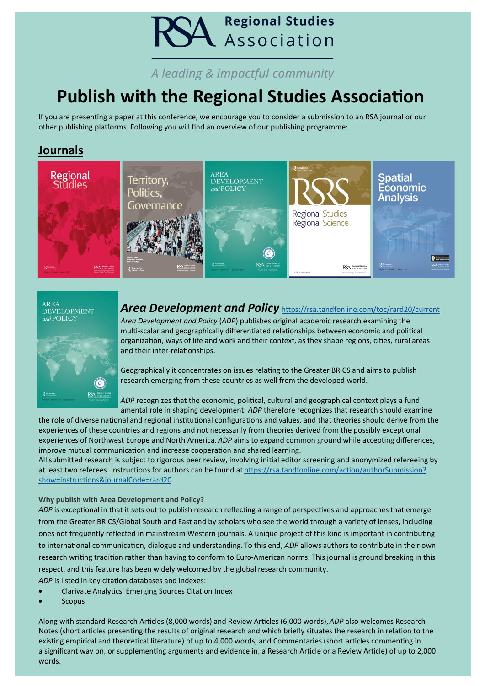# **A** Regional Studies

# A leading & impactful community

# **Publish with the Regional Studies Association**

If you are presenting a paper at this conference, we encourage you to consider a submission to an RSA journal or our other publishing platforms. Following you will find an overview of our publishing programme:

## **Journals**



# AREA<br>DEVELOPMENT<br>and POLICY



# *Area Development and Policy* <https://rsa.tandfonline.com/toc/rard20/current>

*Area Development and Policy* (*ADP*) publishes original academic research examining the multi-scalar and geographically differentiated relationships between economic and political organization, ways of life and work and their context, as they shape regions, cities, rural areas and their inter-relationships.

Geographically it concentrates on issues relating to the Greater BRICS and aims to publish research emerging from these countries as well from the developed world.

*ADP* recognizes that the economic, political, cultural and geographical context plays a fund amental role in shaping development. *ADP* therefore recognizes that research should examine

the role of diverse national and regional institutional configurations and values, and that theories should derive from the experiences of these countries and regions and not necessarily from theories derived from the possibly exceptional experiences of Northwest Europe and North America. *ADP* aims to expand common ground while accepting differences, improve mutual communication and increase cooperation and shared learning.

All submitted research is subject to rigorous peer review, involving initial editor screening and anonymized refereeing by at least two referees. Instructions for authors can be found at [https://rsa.tandfonline.com/action/authorSubmission?](https://rsa.tandfonline.com/action/authorSubmission?show=instructions&journalCode=rard20) [show=instructions&journalCode=rard20](https://rsa.tandfonline.com/action/authorSubmission?show=instructions&journalCode=rard20)

#### **Why publish with Area Development and Policy?**

*ADP* is exceptional in that it sets out to publish research reflecting a range of perspectives and approaches that emerge from the Greater BRICS/Global South and East and by scholars who see the world through a variety of lenses, including ones not frequently reflected in mainstream Western journals. A unique project of this kind is important in contributing to international communication, dialogue and understanding. To this end, *ADP* allows authors to contribute in their own research writing tradition rather than having to conform to Euro-American norms. This journal is ground breaking in this respect, and this feature has been widely welcomed by the global research community.

*ADP* is listed in key citation databases and indexes:

- Clarivate Analytics' Emerging Sources Citation Index
- **Scopus**

Along with standard Research Articles (8,000 words) and Review Articles (6,000 words),*ADP* also welcomes Research Notes (short articles presenting the results of original research and which briefly situates the research in relation to the existing empirical and theoretical literature) of up to 4,000 words, and Commentaries (short articles commenting in a significant way on, or supplementing arguments and evidence in, a Research Article or a Review Article) of up to 2,000 words.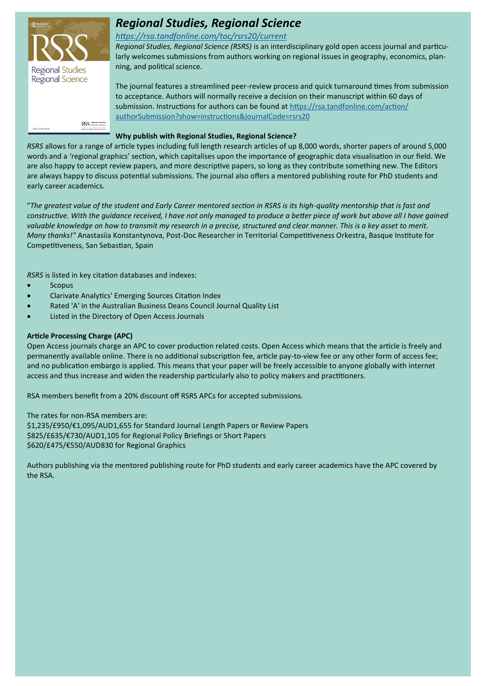

# *Regional Studies, Regional Science*

#### *<https://rsa.tandfonline.com/toc/rsrs20/current>*

*Regional Studies, Regional Science (RSRS)* is an interdisciplinary gold open access journal and particularly welcomes submissions from authors working on regional issues in geography, economics, planning, and political science.

The journal features a streamlined peer-review process and quick turnaround times from submission to acceptance. Authors will normally receive a decision on their manuscript within 60 days of submission. Instructions for authors can be found at [https://rsa.tandfonline.com/action/](https://rsa.tandfonline.com/action/authorSubmission?show=instructions&journalCode=rsrs20) [authorSubmission?show=instructions&journalCode=rsrs20](https://rsa.tandfonline.com/action/authorSubmission?show=instructions&journalCode=rsrs20)

#### **Why publish with Regional Studies, Regional Science?**

*RSRS* allows for a range of article types including full length research articles of up 8,000 words, shorter papers of around 5,000 words and a 'regional graphics' section, which capitalises upon the importance of geographic data visualisation in our field. We are also happy to accept review papers, and more descriptive papers, so long as they contribute something new. The Editors are always happy to discuss potential submissions. The journal also offers a mentored publishing route for PhD students and early career academics.

"*The greatest value of the student and Early Career mentored section in RSRS is its high-quality mentorship that is fast and constructive. With the quidance received, I have not only managed to produce a better piece of work but above all I have gained* valuable knowledge on how to transmit my research in a precise, structured and clear manner. This is a key asset to merit. *Many thanks!"* Anastasiia Konstantynova, Post-Doc Researcher in Territorial Competitiveness Orkestra, Basque Institute for Competitiveness, San Sebastian, Spain

*RSRS* is listed in key citation databases and indexes:

- **Scopus**
- Clarivate Analytics' Emerging Sources Citation Index
- Rated 'A' in the Australian Business Deans Council Journal Quality List
- Listed in the Directory of Open Access Journals

#### **Article Processing Charge (APC)**

Open Access journals charge an APC to cover production related costs. Open Access which means that the article is freely and permanently available online. There is no additional subscription fee, article pay-to-view fee or any other form of access fee; and no publication embargo is applied. This means that your paper will be freely accessible to anyone globally with internet access and thus increase and widen the readership particularly also to policy makers and practitioners.

RSA members benefit from a 20% discount off RSRS APCs for accepted submissions.

The rates for non-RSA members are: \$1,235/£950/€1,095/AUD1,655 for Standard Journal Length Papers or Review Papers \$825/£635/€730/AUD1,105 for Regional Policy Briefings or Short Papers \$620/£475/€550/AUD830 for Regional Graphics

Authors publishing via the mentored publishing route for PhD students and early career academics have the APC covered by the RSA.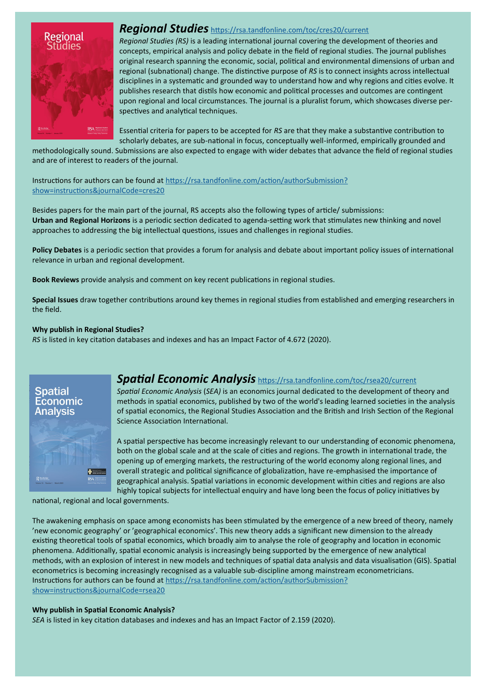

#### *Regional Studies* <https://rsa.tandfonline.com/toc/cres20/current>

*Regional Studies (RS)* is a leading international journal covering the development of theories and concepts, empirical analysis and policy debate in the field of regional studies. The journal publishes original research spanning the economic, social, political and environmental dimensions of urban and regional (subnational) change. The distinctive purpose of *RS* is to connect insights across intellectual disciplines in a systematic and grounded way to understand how and why regions and cities evolve. It publishes research that distils how economic and political processes and outcomes are contingent upon regional and local circumstances. The journal is a pluralist forum, which showcases diverse perspectives and analytical techniques.

Essential criteria for papers to be accepted for *RS* are that they make a substantive contribution to scholarly debates, are sub-national in focus, conceptually well-informed, empirically grounded and

methodologically sound. Submissions are also expected to engage with wider debates that advance the field of regional studies and are of interest to readers of the journal.

Instructions for authors can be found at [https://rsa.tandfonline.com/action/authorSubmission?](https://rsa.tandfonline.com/action/authorSubmission?show=instructions&journalCode=cres20) [show=instructions&journalCode=cres20](https://rsa.tandfonline.com/action/authorSubmission?show=instructions&journalCode=cres20)

Besides papers for the main part of the journal, RS accepts also the following types of article/ submissions: **Urban and Regional Horizons** is a periodic section dedicated to agenda-setting work that stimulates new thinking and novel approaches to addressing the big intellectual questions, issues and challenges in regional studies.

**Policy Debates** is a periodic section that provides a forum for analysis and debate about important policy issues of international relevance in urban and regional development.

**Book Reviews** provide analysis and comment on key recent publications in regional studies.

**Special Issues** draw together contributions around key themes in regional studies from established and emerging researchers in the field.

#### **Why publish in Regional Studies?**

*RS* is listed in key citation databases and indexes and has an Impact Factor of 4.672 (2020).

**Spatia** Economic **Analysis** 

#### *Spatial Economic Analysis* <https://rsa.tandfonline.com/toc/rsea20/current>

*Spatial Economic Analysis* (*SEA)* is an economics journal dedicated to the development of theory and methods in spatial economics, published by two of the world's leading learned societies in the analysis of spatial economics, the Regional Studies Association and the British and Irish Section of the Regional Science Association International.

A spatial perspective has become increasingly relevant to our understanding of economic phenomena, both on the global scale and at the scale of cities and regions. The growth in international trade, the opening up of emerging markets, the restructuring of the world economy along regional lines, and overall strategic and political significance of globalization, have re-emphasised the importance of geographical analysis. Spatial variations in economic development within cities and regions are also highly topical subjects for intellectual enquiry and have long been the focus of policy initiatives by

national, regional and local governments.

The awakening emphasis on space among economists has been stimulated by the emergence of a new breed of theory, namely 'new economic geography' or 'geographical economics'. This new theory adds a significant new dimension to the already existing theoretical tools of spatial economics, which broadly aim to analyse the role of geography and location in economic phenomena. Additionally, spatial economic analysis is increasingly being supported by the emergence of new analytical methods, with an explosion of interest in new models and techniques of spatial data analysis and data visualisation (GIS). Spatial econometrics is becoming increasingly recognised as a valuable sub-discipline among mainstream econometricians. Instructions for authors can be found at [https://rsa.tandfonline.com/action/authorSubmission?](https://rsa.tandfonline.com/action/authorSubmission?show=instructions&journalCode=rsea20) [show=instructions&journalCode=rsea20](https://rsa.tandfonline.com/action/authorSubmission?show=instructions&journalCode=rsea20)

#### **Why publish in Spatial Economic Analysis?**

*SEA* is listed in key citation databases and indexes and has an Impact Factor of 2.159 (2020).